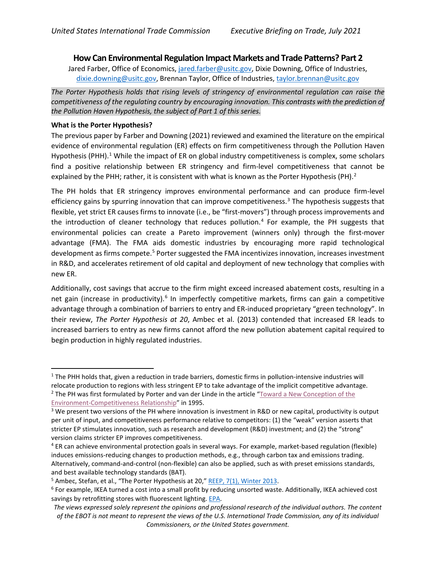## **How Can Environmental Regulation Impact Markets and Trade Patterns? Part 2**

Jared Farber, Office of Economics[, jared.farber@usitc.gov,](mailto:jared.farber@usitc.gov) Dixie Downing, Office of Industries, [dixie.downing@usitc.gov,](mailto:dixie.downing@usitc.gov) Brennan Taylor, Office of Industries, [taylor.brennan@usitc.gov](mailto:taylor.brennan@usitc.gov)

*The Porter Hypothesis holds that rising levels of stringency of environmental regulation can raise the competitiveness of the regulating country by encouraging innovation. This contrasts with the prediction of the Pollution Haven Hypothesis, the subject of Part 1 of this series.*

## **What is the Porter Hypothesis?**

The previous paper by Farber and Downing (2021) reviewed and examined the literature on the empirical evidence of environmental regulation (ER) effects on firm competitiveness through the Pollution Haven Hypothesis (PHH).<sup>1</sup> While the impact of ER on global industry competitiveness is complex, some scholars find a positive relationship between ER stringency and firm-level competitiveness that cannot be explained by the PHH; rather, it is consistent with what is known as the Porter Hypothesis (PH). $^2$  $^2$ 

The PH holds that ER stringency improves environmental performance and can produce firm-level efficiency gains by spurring innovation that can improve competitiveness.<sup>[3](#page-0-1)</sup> The hypothesis suggests that flexible, yet strict ER causes firms to innovate (i.e., be "first-movers") through process improvements and the introduction of cleaner technology that reduces pollution. [4](#page-0-2) For example, the PH suggests that environmental policies can create a Pareto improvement (winners only) through the first-mover advantage (FMA). The FMA aids domestic industries by encouraging more rapid technological development as firms compete.<sup>[5](#page-0-3)</sup> Porter suggested the FMA incentivizes innovation, increases investment in R&D, and accelerates retirement of old capital and deployment of new technology that complies with new ER.

Additionally, cost savings that accrue to the firm might exceed increased abatement costs, resulting in a net gain (increase in productivity).<sup>[6](#page-0-4)</sup> In imperfectly competitive markets, firms can gain a competitive advantage through a combination of barriers to entry and ER-induced proprietary "green technology". In their review, *The Porter Hypothesis at 20*, Ambec et al. (2013) contended that increased ER leads to increased barriers to entry as new firms cannot afford the new pollution abatement capital required to begin production in highly regulated industries.

 $1$  The PHH holds that, given a reduction in trade barriers, domestic firms in pollution-intensive industries will relocate production to regions with less stringent EP to take advantage of the implicit competitive advantage.

<span id="page-0-0"></span><sup>&</sup>lt;sup>2</sup> The PH was first formulated by Porter and van der Linde in the article "Toward a New Conception of the [Environment-Competitiveness Relationship"](https://pubs.aeaweb.org/doi/pdfplus/10.1257/jep.9.4.97) in 1995.

<span id="page-0-1"></span><sup>&</sup>lt;sup>3</sup> We present two versions of the PH where innovation is investment in R&D or new capital, productivity is output per unit of input, and competitiveness performance relative to competitors: (1) the "weak" version asserts that stricter EP stimulates innovation, such as research and development (R&D) investment; and (2) the "strong" version claims stricter EP improves competitiveness.

<span id="page-0-2"></span><sup>4</sup> ER can achieve environmental protection goals in several ways. For example, market-based regulation (flexible) induces emissions-reducing changes to production methods, e.g., through carbon tax and emissions trading. Alternatively, command-and-control (non-flexible) can also be applied, such as with preset emissions standards, and best available technology standards (BAT).

<span id="page-0-3"></span><sup>&</sup>lt;sup>5</sup> Ambec, Stefan, et al., "The Porter Hypothesis at 20," [REEP, 7\(1\), Winter 2013.](https://doi.org/10.1093/reep/res016)

<span id="page-0-4"></span><sup>6</sup> For example, IKEA turned a cost into a small profit by reducing unsorted waste. Additionally, IKEA achieved cost savings by retrofitting stores with fluorescent lighting[. EPA.](https://www.epa.gov/environmental-economics/competitiveness-implications-environmental-regulations-case-studies-1992)

*The views expressed solely represent the opinions and professional research of the individual authors. The content of the EBOT is not meant to represent the views of the U.S. International Trade Commission, any of its individual Commissioners, or the United States government.*